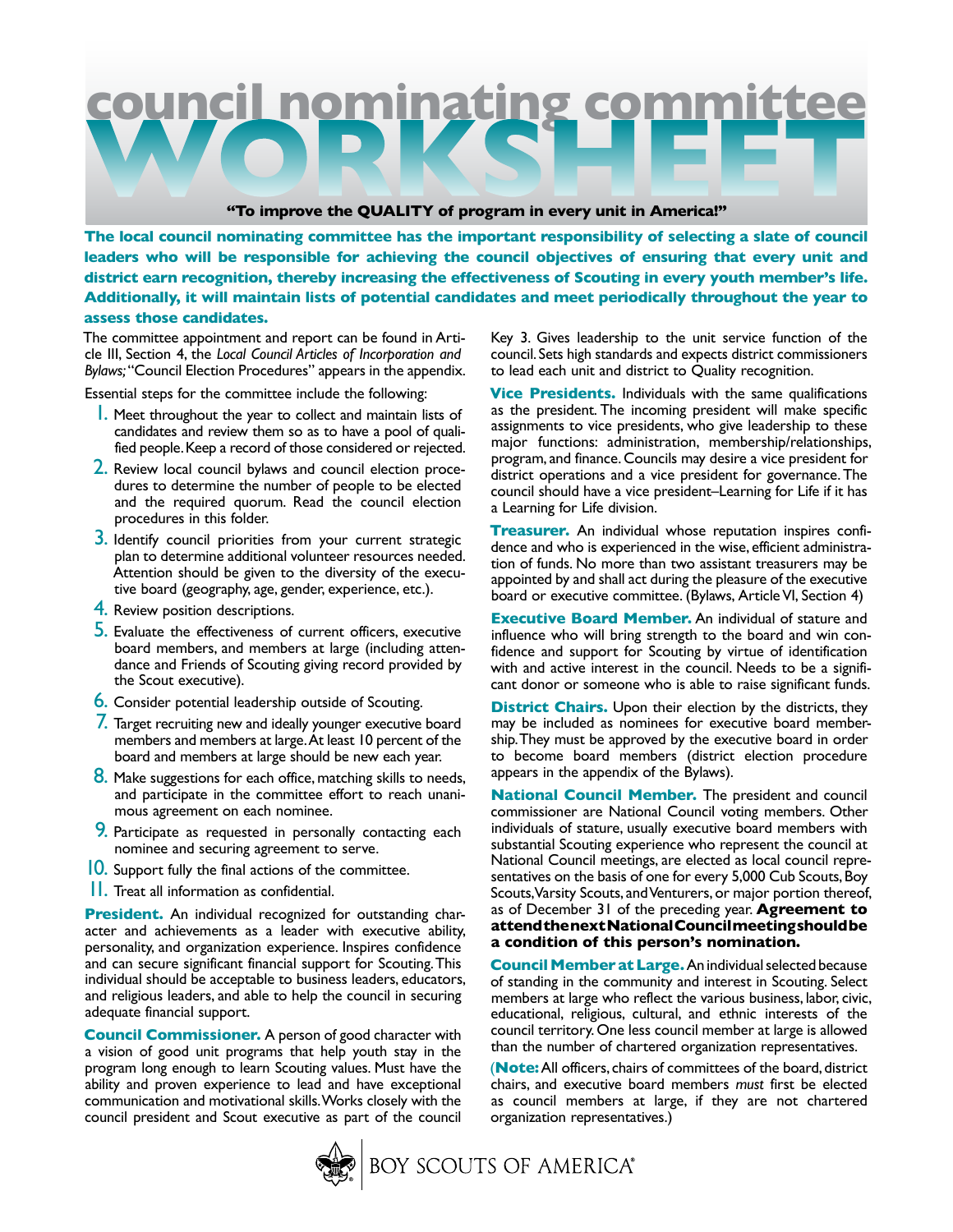

**The local council nominating committee has the important responsibility of selecting a slate of council leaders who will be responsible for achieving the council objectives of ensuring that every unit and district earn recognition, thereby increasing the effectiveness of Scouting in every youth member's life. Additionally, it will maintain lists of potential candidates and meet periodically throughout the year to assess those candidates.**

The committee appointment and report can be found in Article III, Section 4, the *Local Council Articles of Incorporation and Bylaws;* "Council Election Procedures" appears in the appendix.

Essential steps for the committee include the following:

- **1.** Meet throughout the year to collect and maintain lists of candidates and review them so as to have a pool of qualified people. Keep a record of those considered or rejected.
- 2. Review local council bylaws and council election procedures to determine the number of people to be elected and the required quorum. Read the council election procedures in this folder.
- 3. Identify council priorities from your current strategic plan to determine additional volunteer resources needed. Attention should be given to the diversity of the executive board (geography, age, gender, experience, etc.).
- 4. Review position descriptions.
- **5.** Evaluate the effectiveness of current officers, executive board members, and members at large (including attendance and Friends of Scouting giving record provided by the Scout executive).
- **6.** Consider potential leadership outside of Scouting.
- 7. Target recruiting new and ideally younger executive board members and members at large.At least 10 percent of the board and members at large should be new each year.
- 8. Make suggestions for each office, matching skills to needs, and participate in the committee effort to reach unanimous agreement on each nominee.
- 9. Participate as requested in personally contacting each nominee and securing agreement to serve.
- 10. Support fully the final actions of the committee.
- 11. Treat all information as confidential.

**President.** An individual recognized for outstanding character and achievements as a leader with executive ability, personality, and organization experience. Inspires confidence and can secure significant financial support for Scouting. This individual should be acceptable to business leaders, educators, and religious leaders, and able to help the council in securing adequate financial support.

**Council Commissioner.** A person of good character with a vision of good unit programs that help youth stay in the program long enough to learn Scouting values. Must have the ability and proven experience to lead and have exceptional communication and motivational skills.Works closely with the council president and Scout executive as part of the council

Key 3. Gives leadership to the unit service function of the council. Sets high standards and expects district commissioners to lead each unit and district to Quality recognition.

**Vice Presidents.** Individuals with the same qualifications as the president. The incoming president will make specific assignments to vice presidents, who give leadership to these major functions: administration, membership/relationships, program, and finance. Councils may desire a vice president for district operations and a vice president for governance. The council should have a vice president–Learning for Life if it has a Learning for Life division.

**Treasurer.** An individual whose reputation inspires confidence and who is experienced in the wise, efficient administration of funds. No more than two assistant treasurers may be appointed by and shall act during the pleasure of the executive board or executive committee. (Bylaws, Article VI, Section 4)

**Executive Board Member.** An individual of stature and influence who will bring strength to the board and win confidence and support for Scouting by virtue of identification with and active interest in the council. Needs to be a significant donor or someone who is able to raise significant funds.

**District Chairs.** Upon their election by the districts, they may be included as nominees for executive board membership. They must be approved by the executive board in order to become board members (district election procedure appears in the appendix of the Bylaws).

**National Council Member.** The president and council commissioner are National Council voting members. Other individuals of stature, usually executive board members with substantial Scouting experience who represent the council at National Council meetings, are elected as local council representatives on the basis of one for every 5,000 Cub Scouts, Boy Scouts, Varsity Scouts, and Venturers, or major portion thereof, as of December 31 of the preceding year. **Agreement to attend the next National Council meeting should be a condition of this person's nomination.**

**Council Member at Large.** An individual selected because of standing in the community and interest in Scouting. Select members at large who reflect the various business, labor, civic, educational, religious, cultural, and ethnic interests of the council territory. One less council member at large is allowed than the number of chartered organization representatives.

(**Note:** All officers, chairs of committees of the board, district chairs, and executive board members *must* first be elected as council members at large, if they are not chartered organization representatives.)

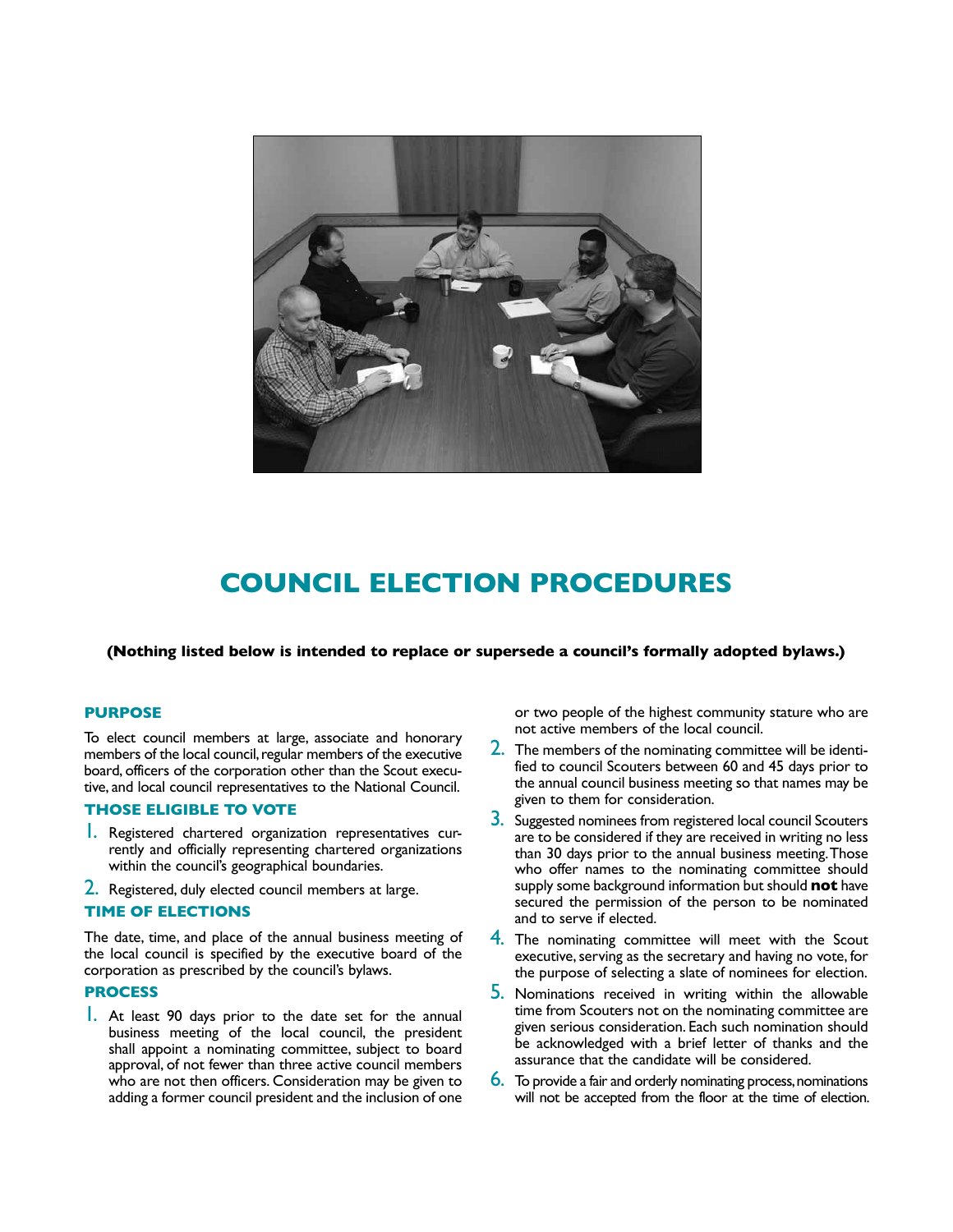

# **COUNCIL ELECTION PROCEDURES**

#### **(Nothing listed below is intended to replace or supersede a council's formally adopted bylaws.)**

### **Purpose**

To elect council members at large, associate and honorary members of the local council, regular members of the executive board, officers of the corporation other than the Scout executive, and local council representatives to the National Council.

### **Those eligible to vote**

- 1. Registered chartered organization representatives currently and officially representing chartered organizations within the council's geographical boundaries.
- 2. Registered, duly elected council members at large.

### **Time of elections**

The date, time, and place of the annual business meeting of the local council is specified by the executive board of the corporation as prescribed by the council's bylaws.

### **Process**

1. At least 90 days prior to the date set for the annual business meeting of the local council, the president shall appoint a nominating committee, subject to board approval, of not fewer than three active council members who are not then officers. Consideration may be given to adding a former council president and the inclusion of one

or two people of the highest community stature who are not active members of the local council.

- $2.$  The members of the nominating committee will be identified to council Scouters between 60 and 45 days prior to the annual council business meeting so that names may be given to them for consideration.
- 3. Suggested nominees from registered local council Scouters are to be considered if they are received in writing no less than 30 days prior to the annual business meeting. Those who offer names to the nominating committee should supply some background information but should **not** have secured the permission of the person to be nominated and to serve if elected.
- 4. The nominating committee will meet with the Scout executive, serving as the secretary and having no vote, for the purpose of selecting a slate of nominees for election.
- 5. Nominations received in writing within the allowable time from Scouters not on the nominating committee are given serious consideration. Each such nomination should be acknowledged with a brief letter of thanks and the assurance that the candidate will be considered.
- 6. To provide a fair and orderly nominating process, nominations will not be accepted from the floor at the time of election.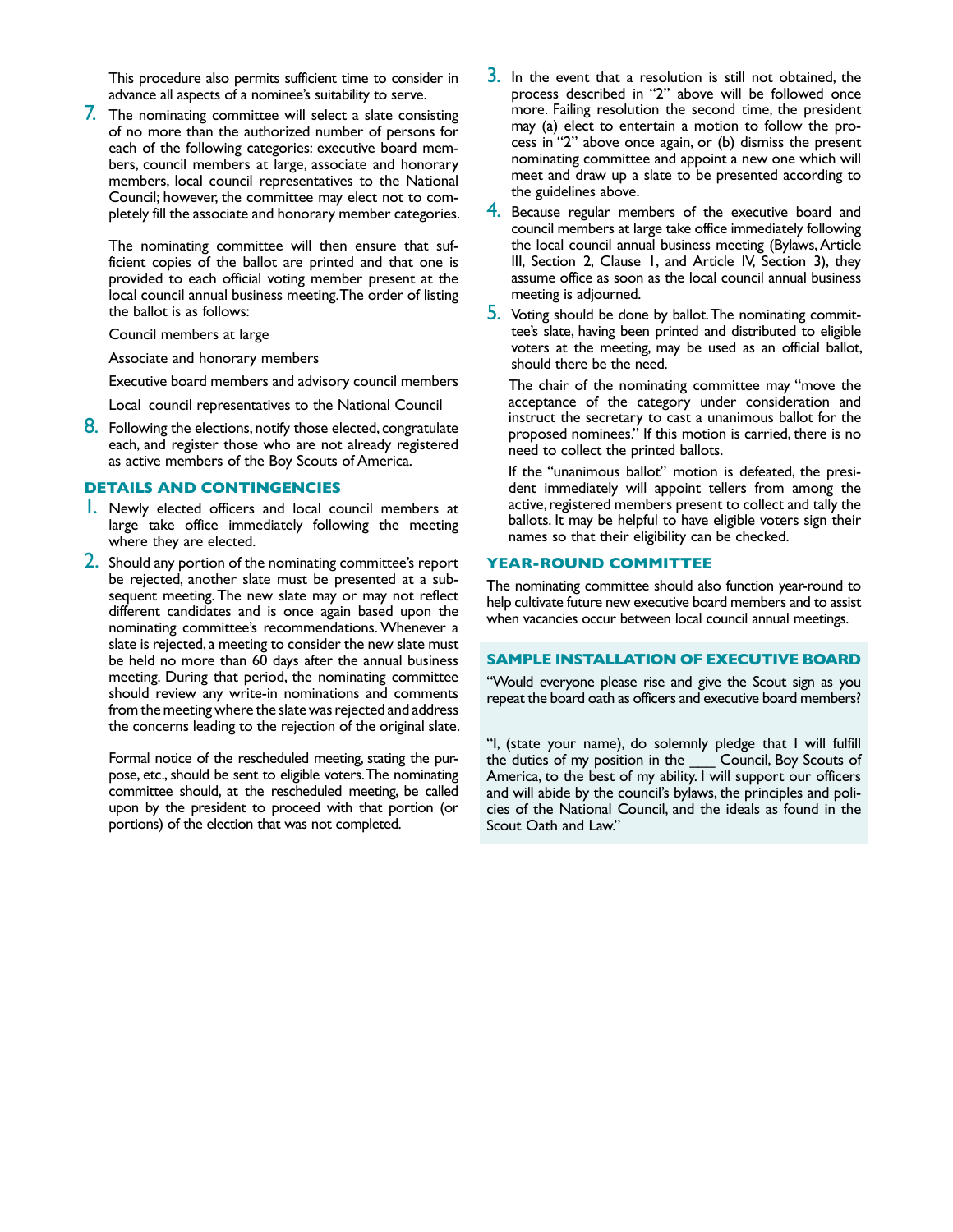This procedure also permits sufficient time to consider in advance all aspects of a nominee's suitability to serve.

7. The nominating committee will select a slate consisting of no more than the authorized number of persons for each of the following categories: executive board members, council members at large, associate and honorary members, local council representatives to the National Council; however, the committee may elect not to completely fill the associate and honorary member categories.

The nominating committee will then ensure that sufficient copies of the ballot are printed and that one is provided to each official voting member present at the local council annual business meeting. The order of listing the ballot is as follows:

Council members at large

Associate and honorary members

Executive board members and advisory council members

Local council representatives to the National Council

8. Following the elections, notify those elected, congratulate each, and register those who are not already registered as active members of the Boy Scouts of America.

### **Details and contingencies**

- 1. Newly elected officers and local council members at large take office immediately following the meeting where they are elected.
- 2. Should any portion of the nominating committee's report be rejected, another slate must be presented at a subsequent meeting. The new slate may or may not reflect different candidates and is once again based upon the nominating committee's recommendations. Whenever a slate is rejected, a meeting to consider the new slate must be held no more than 60 days after the annual business meeting. During that period, the nominating committee should review any write-in nominations and comments from the meeting where the slate was rejected and address the concerns leading to the rejection of the original slate.

Formal notice of the rescheduled meeting, stating the purpose, etc., should be sent to eligible voters. The nominating committee should, at the rescheduled meeting, be called upon by the president to proceed with that portion (or portions) of the election that was not completed.

- **3.** In the event that a resolution is still not obtained, the process described in "2" above will be followed once more. Failing resolution the second time, the president may (a) elect to entertain a motion to follow the process in "2" above once again, or (b) dismiss the present nominating committee and appoint a new one which will meet and draw up a slate to be presented according to the guidelines above.
- 4. Because regular members of the executive board and council members at large take office immediately following the local council annual business meeting (Bylaws, Article III, Section 2, Clause 1, and Article IV, Section 3), they assume office as soon as the local council annual business meeting is adjourned.
- 5. Voting should be done by ballot. The nominating committee's slate, having been printed and distributed to eligible voters at the meeting, may be used as an official ballot, should there be the need.

The chair of the nominating committee may "move the acceptance of the category under consideration and instruct the secretary to cast a unanimous ballot for the proposed nominees." If this motion is carried, there is no need to collect the printed ballots.

If the ''unanimous ballot'' motion is defeated, the president immediately will appoint tellers from among the active, registered members present to collect and tally the ballots. It may be helpful to have eligible voters sign their names so that their eligibility can be checked.

### **year-round committee**

The nominating committee should also function year-round to help cultivate future new executive board members and to assist when vacancies occur between local council annual meetings.

#### **Sample Installation of Executive Board**

"Would everyone please rise and give the Scout sign as you repeat the board oath as officers and executive board members?

"I, (state your name), do solemnly pledge that I will fulfill the duties of my position in the \_\_\_ Council, Boy Scouts of America, to the best of my ability. I will support our officers and will abide by the council's bylaws, the principles and policies of the National Council, and the ideals as found in the Scout Oath and Law."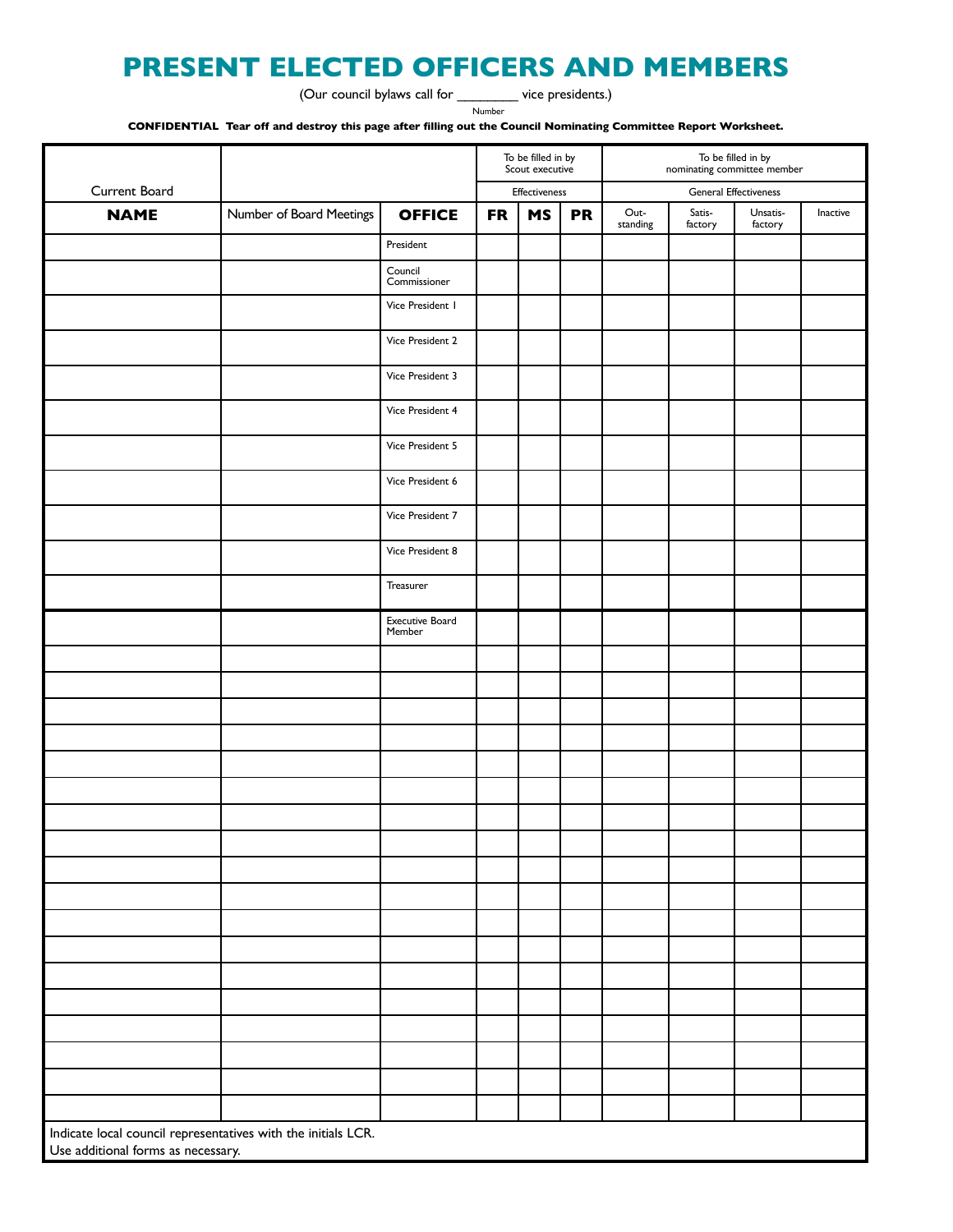# **PRESENT ELECTED OFFICERS AND MEMBERS**

(Our council bylaws call for \_\_\_\_\_\_\_\_ vice presidents.)

Number

**CONFIDENTIAL Tear off and destroy this page after filling out the Council Nominating Committee Report Worksheet.**

|                                                                                                     |                          |                                  |           | To be filled in by<br>Scout executive |           | To be filled in by<br>nominating committee member |                   |                     |          |
|-----------------------------------------------------------------------------------------------------|--------------------------|----------------------------------|-----------|---------------------------------------|-----------|---------------------------------------------------|-------------------|---------------------|----------|
| Current Board                                                                                       |                          |                                  |           | Effectiveness                         |           | <b>General Effectiveness</b>                      |                   |                     |          |
| <b>NAME</b>                                                                                         | Number of Board Meetings | <b>OFFICE</b>                    | <b>FR</b> | <b>MS</b>                             | <b>PR</b> | Out-<br>standing                                  | Satis-<br>factory | Unsatis-<br>factory | Inactive |
|                                                                                                     |                          | President                        |           |                                       |           |                                                   |                   |                     |          |
|                                                                                                     |                          | Council<br>Commissioner          |           |                                       |           |                                                   |                   |                     |          |
|                                                                                                     |                          | Vice President I                 |           |                                       |           |                                                   |                   |                     |          |
|                                                                                                     |                          | Vice President 2                 |           |                                       |           |                                                   |                   |                     |          |
|                                                                                                     |                          | Vice President 3                 |           |                                       |           |                                                   |                   |                     |          |
|                                                                                                     |                          | Vice President 4                 |           |                                       |           |                                                   |                   |                     |          |
|                                                                                                     |                          | Vice President 5                 |           |                                       |           |                                                   |                   |                     |          |
|                                                                                                     |                          | Vice President 6                 |           |                                       |           |                                                   |                   |                     |          |
|                                                                                                     |                          | Vice President 7                 |           |                                       |           |                                                   |                   |                     |          |
|                                                                                                     |                          | Vice President 8                 |           |                                       |           |                                                   |                   |                     |          |
|                                                                                                     |                          | Treasurer                        |           |                                       |           |                                                   |                   |                     |          |
|                                                                                                     |                          | <b>Executive Board</b><br>Member |           |                                       |           |                                                   |                   |                     |          |
|                                                                                                     |                          |                                  |           |                                       |           |                                                   |                   |                     |          |
|                                                                                                     |                          |                                  |           |                                       |           |                                                   |                   |                     |          |
|                                                                                                     |                          |                                  |           |                                       |           |                                                   |                   |                     |          |
|                                                                                                     |                          |                                  |           |                                       |           |                                                   |                   |                     |          |
|                                                                                                     |                          |                                  |           |                                       |           |                                                   |                   |                     |          |
|                                                                                                     |                          |                                  |           |                                       |           |                                                   |                   |                     |          |
|                                                                                                     |                          |                                  |           |                                       |           |                                                   |                   |                     |          |
|                                                                                                     |                          |                                  |           |                                       |           |                                                   |                   |                     |          |
|                                                                                                     |                          |                                  |           |                                       |           |                                                   |                   |                     |          |
|                                                                                                     |                          |                                  |           |                                       |           |                                                   |                   |                     |          |
|                                                                                                     |                          |                                  |           |                                       |           |                                                   |                   |                     |          |
|                                                                                                     |                          |                                  |           |                                       |           |                                                   |                   |                     |          |
|                                                                                                     |                          |                                  |           |                                       |           |                                                   |                   |                     |          |
|                                                                                                     |                          |                                  |           |                                       |           |                                                   |                   |                     |          |
|                                                                                                     |                          |                                  |           |                                       |           |                                                   |                   |                     |          |
|                                                                                                     |                          |                                  |           |                                       |           |                                                   |                   |                     |          |
|                                                                                                     |                          |                                  |           |                                       |           |                                                   |                   |                     |          |
| Indicate local council representatives with the initials LCR.<br>Use additional forms as necessary. |                          |                                  |           |                                       |           |                                                   |                   |                     |          |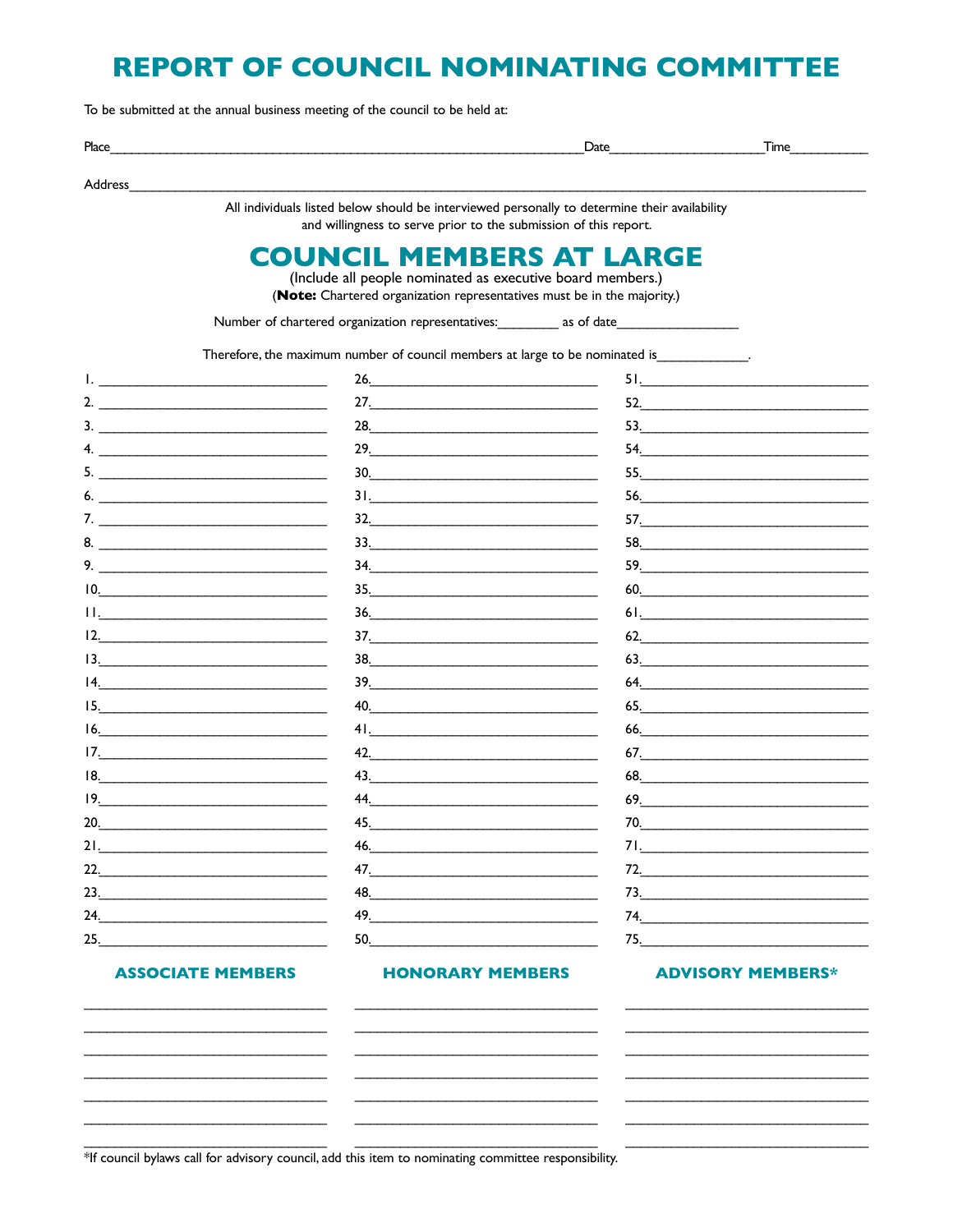# **REPORT OF COUNCIL NOMINATING COMMITTEE**

To be submitted at the annual business meeting of the council to be held at:

| Pl <sub>2</sub><br>____ | nı | $\sim$ |
|-------------------------|----|--------|
|                         |    |        |

Address

All individuals listed below should be interviewed personally to determine their availability and willingness to serve prior to the submission of this report.

# **COUNCIL MEMBERS AT LARGE**

(Include all people nominated as executive board members.) (Note: Chartered organization representatives must be in the majority.)

Number of chartered organization representatives: \_\_\_\_\_\_\_\_\_ as of date\_\_\_\_

Therefore, the maximum number of council members at large to be nominated is

|                                                                                                                                                                                                                                                                                                                                                                                                                | 26.                                                                                                                                                                                                                                                                                                                                                                                                                                                                                                                                   | 51.                                            |
|----------------------------------------------------------------------------------------------------------------------------------------------------------------------------------------------------------------------------------------------------------------------------------------------------------------------------------------------------------------------------------------------------------------|---------------------------------------------------------------------------------------------------------------------------------------------------------------------------------------------------------------------------------------------------------------------------------------------------------------------------------------------------------------------------------------------------------------------------------------------------------------------------------------------------------------------------------------|------------------------------------------------|
| 2. $\overline{\phantom{a}}$                                                                                                                                                                                                                                                                                                                                                                                    | 27.                                                                                                                                                                                                                                                                                                                                                                                                                                                                                                                                   | $52. \underline{\hspace{2cm}}$                 |
|                                                                                                                                                                                                                                                                                                                                                                                                                | $28.$                                                                                                                                                                                                                                                                                                                                                                                                                                                                                                                                 | 53.                                            |
| 4.                                                                                                                                                                                                                                                                                                                                                                                                             | 29.                                                                                                                                                                                                                                                                                                                                                                                                                                                                                                                                   |                                                |
|                                                                                                                                                                                                                                                                                                                                                                                                                |                                                                                                                                                                                                                                                                                                                                                                                                                                                                                                                                       |                                                |
| 6. $\overline{\phantom{a}}$                                                                                                                                                                                                                                                                                                                                                                                    | 31.                                                                                                                                                                                                                                                                                                                                                                                                                                                                                                                                   | 56.                                            |
| 7.                                                                                                                                                                                                                                                                                                                                                                                                             | $\begin{tabular}{c} 32. & \begin{tabular}{@{}c@{}} \textbf{1} & \textbf{2} & \textbf{3} & \textbf{4} & \textbf{5} & \textbf{5} & \textbf{6} & \textbf{6} & \textbf{6} & \textbf{6} & \textbf{6} & \textbf{6} & \textbf{6} & \textbf{6} & \textbf{6} & \textbf{6} & \textbf{6} & \textbf{6} & \textbf{6} & \textbf{6} & \textbf{6} & \textbf{6} & \textbf{6} & \textbf{6} & \textbf{6} & \textbf{6} & \textbf{6} & \textbf{6}$                                                                                                         |                                                |
|                                                                                                                                                                                                                                                                                                                                                                                                                | $\begin{array}{c} \n \textbf{33.} \quad \textbf{---} \quad \textbf{---} \quad \textbf{---} \quad \textbf{---} \quad \textbf{---} \quad \textbf{---} \quad \textbf{---} \quad \textbf{---} \quad \textbf{---} \quad \textbf{---} \quad \textbf{---} \quad \textbf{---} \quad \textbf{---} \quad \textbf{---} \quad \textbf{---} \quad \textbf{---} \quad \textbf{---} \quad \textbf{---} \quad \textbf{---} \quad \textbf{---} \quad \textbf{---} \quad \textbf{---} \quad \textbf{---} \quad \textbf{---} \quad \textbf{---} \quad \$ |                                                |
|                                                                                                                                                                                                                                                                                                                                                                                                                | $\begin{array}{c} \n \textbf{34.} \quad \textbf{---} \quad \textbf{---} \quad \textbf{---} \quad \textbf{---} \quad \textbf{---} \quad \textbf{---} \quad \textbf{---} \quad \textbf{---} \quad \textbf{---} \quad \textbf{---} \quad \textbf{---} \quad \textbf{---} \quad \textbf{---} \quad \textbf{---} \quad \textbf{---} \quad \textbf{---} \quad \textbf{---} \quad \textbf{---} \quad \textbf{---} \quad \textbf{---} \quad \textbf{---} \quad \textbf{---} \quad \textbf{---} \quad \textbf{---} \quad \textbf{---} \quad \$ |                                                |
| 10.                                                                                                                                                                                                                                                                                                                                                                                                            | 35.                                                                                                                                                                                                                                                                                                                                                                                                                                                                                                                                   | $60.$                                          |
| $11.$ <u>The contract of the contract of the contract of the contract of the contract of the contract of the contract of the contract of the contract of the contract of the contract of the contract of the contract of the co</u>                                                                                                                                                                            |                                                                                                                                                                                                                                                                                                                                                                                                                                                                                                                                       |                                                |
| $12.$                                                                                                                                                                                                                                                                                                                                                                                                          | $\begin{tabular}{c} 37. & \begin{tabular}{@{}c@{}} \textbf{1} & \textbf{2} & \textbf{3} & \textbf{4} & \textbf{5} & \textbf{5} & \textbf{6} & \textbf{6} & \textbf{6} & \textbf{6} & \textbf{6} & \textbf{6} & \textbf{6} & \textbf{6} & \textbf{6} & \textbf{6} & \textbf{6} & \textbf{6} & \textbf{6} & \textbf{6} & \textbf{6} & \textbf{6} & \textbf{6} & \textbf{6} & \textbf{6} & \textbf{6} & \textbf{6} & \textbf{6}$                                                                                                         | 62.                                            |
| $13.$ $\frac{13.}{2}$ $\frac{13.}{2}$ $\frac{13.}{2}$ $\frac{13.}{2}$ $\frac{13.}{2}$ $\frac{13.}{2}$ $\frac{13.}{2}$ $\frac{13.}{2}$ $\frac{13.}{2}$ $\frac{13.}{2}$ $\frac{13.}{2}$ $\frac{13.}{2}$ $\frac{13.}{2}$ $\frac{13.}{2}$ $\frac{13.}{2}$ $\frac{13.}{2}$ $\frac{13.}{2}$ $\frac{13.}{2}$                                                                                                          |                                                                                                                                                                                                                                                                                                                                                                                                                                                                                                                                       | 63.                                            |
| 4.<br><u> 1980 - Johann Barbara, martin amerikan basar da</u>                                                                                                                                                                                                                                                                                                                                                  | $\begin{tabular}{c} 39. & \begin{tabular}{@{}c@{}} \textbf{1} & \textbf{2} & \textbf{3} & \textbf{4} & \textbf{5} & \textbf{5} & \textbf{6} & \textbf{6} & \textbf{6} & \textbf{6} & \textbf{6} & \textbf{6} & \textbf{6} & \textbf{6} & \textbf{6} & \textbf{6} & \textbf{6} & \textbf{6} & \textbf{6} & \textbf{6} & \textbf{6} & \textbf{6} & \textbf{6} & \textbf{6} & \textbf{6} & \textbf{6} & \textbf{6} & \textbf{6}$                                                                                                         |                                                |
| 15.                                                                                                                                                                                                                                                                                                                                                                                                            | $40.$                                                                                                                                                                                                                                                                                                                                                                                                                                                                                                                                 | $65. \qquad \qquad \overbrace{\hspace{2.5cm}}$ |
| $\begin{picture}(20,10) \put(0,0){\vector(1,0){100}} \put(15,0){\vector(1,0){100}} \put(15,0){\vector(1,0){100}} \put(15,0){\vector(1,0){100}} \put(15,0){\vector(1,0){100}} \put(15,0){\vector(1,0){100}} \put(15,0){\vector(1,0){100}} \put(15,0){\vector(1,0){100}} \put(15,0){\vector(1,0){100}} \put(15,0){\vector(1,0){100}} \put(15,0){\vector(1,0){100}} \$                                            | 41.                                                                                                                                                                                                                                                                                                                                                                                                                                                                                                                                   |                                                |
| 17.                                                                                                                                                                                                                                                                                                                                                                                                            |                                                                                                                                                                                                                                                                                                                                                                                                                                                                                                                                       | $67.$                                          |
| $18. \qquad \qquad 18. \qquad \qquad 18. \qquad \qquad 18. \qquad \qquad 18. \qquad \qquad 18. \qquad \qquad 18. \qquad \qquad 18. \qquad \qquad 18. \qquad \qquad 18. \qquad \qquad 18. \qquad \qquad 18. \qquad \qquad 18. \qquad \qquad 18. \qquad \qquad 18. \qquad \qquad 18. \qquad \qquad 18. \qquad \qquad 18. \qquad \qquad 18. \qquad \qquad 18. \qquad \qquad 18. \qquad \qquad 18. \qquad \qquad $ | 43.                                                                                                                                                                                                                                                                                                                                                                                                                                                                                                                                   |                                                |
| 19.                                                                                                                                                                                                                                                                                                                                                                                                            | 44.                                                                                                                                                                                                                                                                                                                                                                                                                                                                                                                                   | 69.                                            |
| $20.$                                                                                                                                                                                                                                                                                                                                                                                                          | $\begin{array}{c} \n \textbf{45.} \quad \textbf{---} \quad \textbf{---} \quad \textbf{---} \quad \textbf{---} \quad \textbf{---} \quad \textbf{---} \quad \textbf{---} \quad \textbf{---} \quad \textbf{---} \quad \textbf{---} \quad \textbf{---} \quad \textbf{---} \quad \textbf{---} \quad \textbf{---} \quad \textbf{---} \quad \textbf{---} \quad \textbf{---} \quad \textbf{---} \quad \textbf{---} \quad \textbf{---} \quad \textbf{---} \quad \textbf{---} \quad \textbf{---} \quad \textbf{---} \quad \textbf{---} \quad \$ |                                                |
| $21.$                                                                                                                                                                                                                                                                                                                                                                                                          | $\begin{array}{c c c c c c} \hline \textbf{46.} & \textcolor{red}{\textbf{18.8}} & \textbf{19.9} & \textbf{19.9} & \textbf{19.9} & \textbf{19.9} & \textbf{19.9} & \textbf{19.9} & \textbf{19.9} & \textbf{19.9} & \textbf{19.9} & \textbf{19.9} & \textbf{19.9} & \textbf{19.9} & \textbf{19.9} & \textbf{19.9} & \textbf{19.9} & \textbf{19.9} & \textbf{19.9} & \textbf{1$                                                                                                                                                         |                                                |
| $22.$                                                                                                                                                                                                                                                                                                                                                                                                          | 47.                                                                                                                                                                                                                                                                                                                                                                                                                                                                                                                                   | $72.$                                          |
| 23.                                                                                                                                                                                                                                                                                                                                                                                                            |                                                                                                                                                                                                                                                                                                                                                                                                                                                                                                                                       | $73.$                                          |
| 24.                                                                                                                                                                                                                                                                                                                                                                                                            | 49.                                                                                                                                                                                                                                                                                                                                                                                                                                                                                                                                   | 74.                                            |
| 25.                                                                                                                                                                                                                                                                                                                                                                                                            | 50.                                                                                                                                                                                                                                                                                                                                                                                                                                                                                                                                   | 75.                                            |

## **ASSOCIATE MEMBERS**

#### **HONORARY MEMBERS**

 $\mathcal{L}_{\text{max}}$  . The set of  $\mathcal{L}_{\text{max}}$ 

#### **ADVISORY MEMBERS\***

 $*$  if council by laws call for advisory council, add this item to nominating committee responsibility.